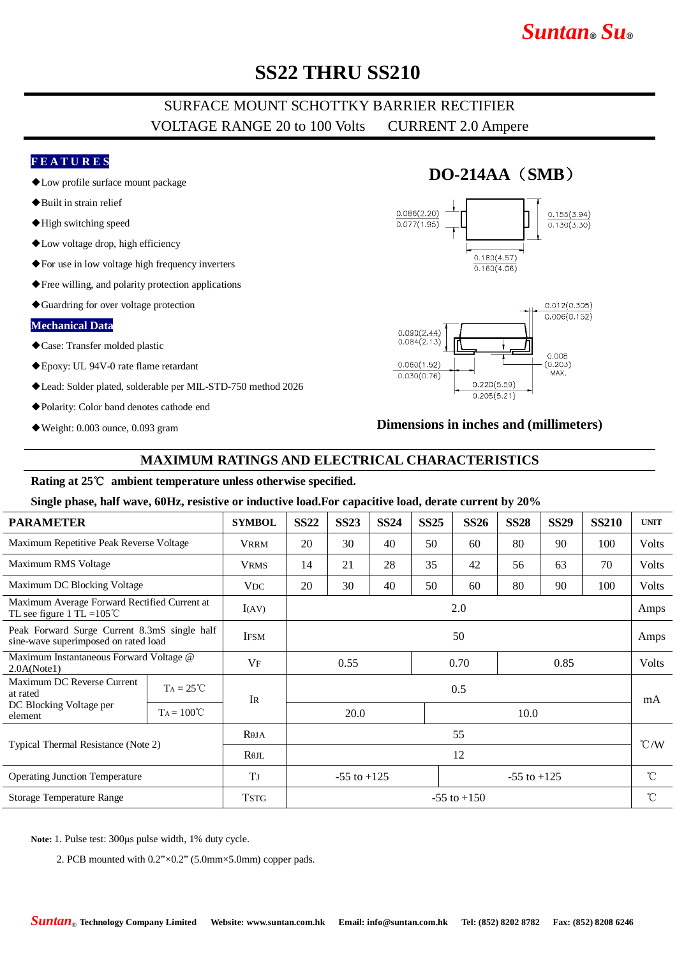# *Suntan***®** *Su***®**

# **SS22 THRU SS210**

## SURFACE MOUNT SCHOTTKY BARRIER RECTIFIER VOLTAGE RANGE 20 to 100 Volts CURRENT 2.0 Ampere

### **F E A T U R E S**

- ◆Low profile surface mount package
- ◆Built in strain relief
- ◆High switching speed
- ◆Low voltage drop, high efficiency
- ◆For use in low voltage high frequency inverters
- ◆Free willing, and polarity protection applications
- ◆Guardring for over voltage protection

#### **Mechanical Data**

- ◆Case: Transfer molded plastic
- ◆Epoxy: UL 94V-0 rate flame retardant
- ◆Lead: Solder plated, solderable per MIL-STD-750 method 2026
- ◆Polarity: Color band denotes cathode end
- ◆Weight: 0.003 ounce, 0.093 gram

## **DO-214AA**(**SMB**)





### **Dimensions in inches and (millimeters)**

### **MAXIMUM RATINGS AND ELECTRICAL CHARACTERISTICS**

### **Rating at 25**℃ **ambient temperature unless otherwise specified.**

#### **Single phase, half wave, 60Hz, resistive or inductive load.For capacitive load, derate current by 20%**

| <b>PARAMETER</b>                                                                     |                     | <b>SYMBOL</b> | <b>SS22</b>                        | <b>SS23</b> | <b>SS24</b> | <b>SS25</b> | <b>SS26</b> | <b>SS28</b>  | <b>SS29</b> | <b>SS210</b> | <b>UNIT</b>     |
|--------------------------------------------------------------------------------------|---------------------|---------------|------------------------------------|-------------|-------------|-------------|-------------|--------------|-------------|--------------|-----------------|
| Maximum Repetitive Peak Reverse Voltage                                              |                     | <b>VRRM</b>   | 20                                 | 30          | 40          | 50          | 60          | 80           | 90          | 100          | Volts           |
| Maximum RMS Voltage                                                                  |                     | <b>VRMS</b>   | 14                                 | 21          | 28          | 35          | 42          | 56           | 63          | 70           | Volts           |
| Maximum DC Blocking Voltage                                                          |                     | <b>VDC</b>    | 20                                 | 30          | 40          | 50          | 60          | 80           | 90          | 100          | Volts           |
| Maximum Average Forward Rectified Current at<br>TL see figure 1 TL = $105^{\circ}$ C |                     | I(AV)         | 2.0                                |             |             |             |             |              |             |              | Amps            |
| Peak Forward Surge Current 8.3mS single half<br>sine-wave superimposed on rated load |                     | <b>IFSM</b>   | 50                                 |             |             |             |             |              |             |              | Amps            |
| Maximum Instantaneous Forward Voltage @<br>2.0A(Note1)                               |                     | VF            | 0.70<br>0.85<br>0.55               |             |             |             |             | <b>Volts</b> |             |              |                 |
| Maximum DC Reverse Current<br>at rated                                               | $TA = 25^{\circ}C$  | <b>IR</b>     | 0.5                                |             |             |             |             |              |             |              | mA              |
| DC Blocking Voltage per<br>element                                                   | $Ta = 100^{\circ}C$ |               |                                    | 20.0        |             |             | 10.0        |              |             |              |                 |
| Typical Thermal Resistance (Note 2)                                                  |                     | $R\theta$ JA  | 55                                 |             |             |             |             |              |             |              | $\degree$ C/W   |
|                                                                                      |                     | $R\theta$ JL  | 12                                 |             |             |             |             |              |             |              |                 |
| <b>Operating Junction Temperature</b>                                                |                     | TJ            | $-55$ to $+125$<br>$-55$ to $+125$ |             |             |             |             |              |             | $^{\circ}$ C |                 |
| Storage Temperature Range                                                            |                     | <b>TSTG</b>   | $-55$ to $+150$                    |             |             |             |             |              |             |              | $\rm ^{\circ}C$ |
|                                                                                      |                     |               |                                    |             |             |             |             |              |             |              |                 |

**Note:** 1. Pulse test: 300μs pulse width, 1% duty cycle.

2. PCB mounted with 0.2"×0.2" (5.0mm×5.0mm) copper pads.